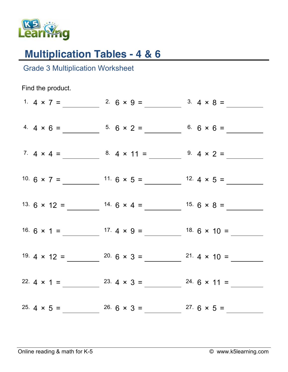

## **Multiplication Tables - 4 & 6**

Grade 3 Multiplication Worksheet

Find the product. 1.  $4 \times 7 =$  2.  $6 \times 9 =$  3.  $4 \times 8 =$ 4.  $4 \times 6 =$  5.  $6 \times 2 =$  6.  $6 \times 6 =$ 7.  $4 \times 4 =$  8.  $4 \times 11 =$  9.  $4 \times 2 =$ 10.  $6 \times 7 =$  11.  $6 \times 5 =$  12.  $4 \times 5 =$ 13.  $6 \times 12 =$  14.  $6 \times 4 =$  15.  $6 \times 8 =$ 16.  $6 \times 1 =$  17.  $4 \times 9 =$  18.  $6 \times 10 =$ 19.  $4 \times 12 =$   $20.6 \times 3 =$   $21.4 \times 10 =$ 22.  $4 \times 1 =$  23.  $4 \times 3 =$  24.  $6 \times 11 =$ 25.  $4 \times 5 =$  26.  $6 \times 3 =$  27.  $6 \times 5 =$